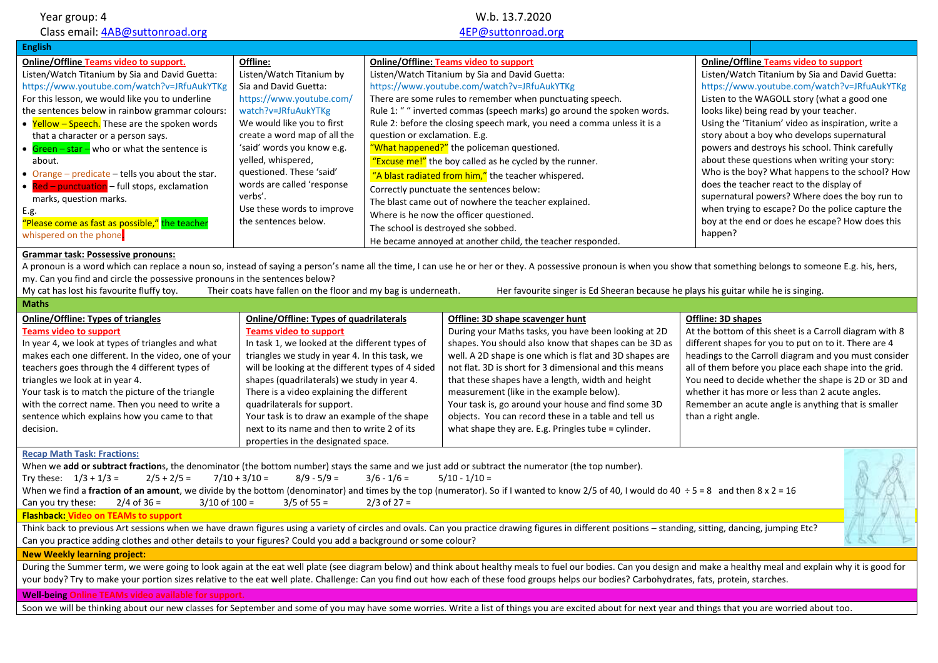| Year group: 4<br>Class email: 4AB@suttonroad.org<br><b>English</b>                                                                                                                                                                                                                                                                                                                                                                                                                                                                                                                                                          |                                                                                                                                                                                                                                                                                                                                                                                                                                                                    |                                                                                                                                                                                                                                                                                                                                                                                                                                                                                                                                                                                                                                                                                                                                                                                                                       | W.b. 13.7.2020<br>4EP@suttonroad.org                                                                                                                                                                                                                                                                                                                                                                                                                                                                                                          |                                                                                                                                                                                                                                                                                                                                                                                                                                                                                                                                                                                                                    |                                                                                                |
|-----------------------------------------------------------------------------------------------------------------------------------------------------------------------------------------------------------------------------------------------------------------------------------------------------------------------------------------------------------------------------------------------------------------------------------------------------------------------------------------------------------------------------------------------------------------------------------------------------------------------------|--------------------------------------------------------------------------------------------------------------------------------------------------------------------------------------------------------------------------------------------------------------------------------------------------------------------------------------------------------------------------------------------------------------------------------------------------------------------|-----------------------------------------------------------------------------------------------------------------------------------------------------------------------------------------------------------------------------------------------------------------------------------------------------------------------------------------------------------------------------------------------------------------------------------------------------------------------------------------------------------------------------------------------------------------------------------------------------------------------------------------------------------------------------------------------------------------------------------------------------------------------------------------------------------------------|-----------------------------------------------------------------------------------------------------------------------------------------------------------------------------------------------------------------------------------------------------------------------------------------------------------------------------------------------------------------------------------------------------------------------------------------------------------------------------------------------------------------------------------------------|--------------------------------------------------------------------------------------------------------------------------------------------------------------------------------------------------------------------------------------------------------------------------------------------------------------------------------------------------------------------------------------------------------------------------------------------------------------------------------------------------------------------------------------------------------------------------------------------------------------------|------------------------------------------------------------------------------------------------|
| <b>Online/Offline Teams video to support.</b><br>Listen/Watch Titanium by Sia and David Guetta:<br>https://www.youtube.com/watch?v=JRfuAukYTKg<br>For this lesson, we would like you to underline<br>the sentences below in rainbow grammar colours:<br>• Yellow - Speech. These are the spoken words<br>that a character or a person says.<br>• $Green - star - who or what the sentence is$<br>about.<br>• Orange - predicate - tells you about the star.<br>• Red - punctuation - full stops, exclamation<br>marks, question marks.<br>E.g.<br>"Please come as fast as possible," the teacher<br>whispered on the phone. | Offline:<br>Listen/Watch Titanium by<br>Sia and David Guetta:<br>https://www.youtube.com/<br>watch?v=JRfuAukYTKg<br>We would like you to first<br>create a word map of all the<br>'said' words you know e.g.<br>yelled, whispered,<br>questioned. These 'said'<br>words are called 'response<br>verbs'.<br>Use these words to improve<br>the sentences below.                                                                                                      | <b>Online/Offline: Teams video to support</b><br>Listen/Watch Titanium by Sia and David Guetta:<br>https://www.youtube.com/watch?v=JRfuAukYTKg<br>There are some rules to remember when punctuating speech.<br>Rule 1: " " inverted commas (speech marks) go around the spoken words.<br>Rule 2: before the closing speech mark, you need a comma unless it is a<br>question or exclamation. E.g.<br>"What happened?" the policeman questioned.<br>"Excuse me!" the boy called as he cycled by the runner.<br>"A blast radiated from him," the teacher whispered.<br>Correctly punctuate the sentences below:<br>The blast came out of nowhere the teacher explained.<br>Where is he now the officer questioned.<br>The school is destroyed she sobbed.<br>He became annoyed at another child, the teacher responded. |                                                                                                                                                                                                                                                                                                                                                                                                                                                                                                                                               | <b>Online/Offline Teams video to support</b><br>Listen/Watch Titanium by Sia and David Guetta:<br>Listen to the WAGOLL story (what a good one<br>looks like) being read by your teacher.<br>Using the 'Titanium' video as inspiration, write a<br>story about a boy who develops supernatural<br>powers and destroys his school. Think carefully<br>about these questions when writing your story:<br>does the teacher react to the display of<br>supernatural powers? Where does the boy run to<br>when trying to escape? Do the police capture the<br>boy at the end or does he escape? How does this<br>happen? | https://www.youtube.com/watch?v=JRfuAukYTKg<br>Who is the boy? What happens to the school? How |
| <b>Grammar task: Possessive pronouns:</b><br>A pronoun is a word which can replace a noun so, instead of saying a person's name all the time, I can use he or her or they. A possessive pronoun is when you show that something belongs to someone E.g. his, hers,<br>my. Can you find and circle the possessive pronouns in the sentences below?<br>My cat has lost his favourite fluffy toy.<br>Their coats have fallen on the floor and my bag is underneath.<br>Her favourite singer is Ed Sheeran because he plays his guitar while he is singing.                                                                     |                                                                                                                                                                                                                                                                                                                                                                                                                                                                    |                                                                                                                                                                                                                                                                                                                                                                                                                                                                                                                                                                                                                                                                                                                                                                                                                       |                                                                                                                                                                                                                                                                                                                                                                                                                                                                                                                                               |                                                                                                                                                                                                                                                                                                                                                                                                                                                                                                                                                                                                                    |                                                                                                |
| <b>Maths</b><br><b>Online/Offline: Types of triangles</b><br><b>Teams video to support</b><br>In year 4, we look at types of triangles and what<br>makes each one different. In the video, one of your<br>teachers goes through the 4 different types of<br>triangles we look at in year 4.<br>Your task is to match the picture of the triangle<br>with the correct name. Then you need to write a<br>sentence which explains how you came to that<br>decision.                                                                                                                                                            | <b>Online/Offline: Types of quadrilaterals</b><br><b>Teams video to support</b><br>In task 1, we looked at the different types of<br>triangles we study in year 4. In this task, we<br>will be looking at the different types of 4 sided<br>shapes (quadrilaterals) we study in year 4.<br>There is a video explaining the different<br>quadrilaterals for support.<br>Your task is to draw an example of the shape<br>next to its name and then to write 2 of its |                                                                                                                                                                                                                                                                                                                                                                                                                                                                                                                                                                                                                                                                                                                                                                                                                       | Offline: 3D shape scavenger hunt<br>During your Maths tasks, you have been looking at 2D<br>shapes. You should also know that shapes can be 3D as<br>well. A 2D shape is one which is flat and 3D shapes are<br>not flat. 3D is short for 3 dimensional and this means<br>that these shapes have a length, width and height<br>measurement (like in the example below).<br>Your task is, go around your house and find some 3D<br>objects. You can record these in a table and tell us<br>what shape they are. E.g. Pringles tube = cylinder. | Offline: 3D shapes<br>At the bottom of this sheet is a Carroll diagram with 8<br>different shapes for you to put on to it. There are 4<br>headings to the Carroll diagram and you must consider<br>all of them before you place each shape into the grid.<br>You need to decide whether the shape is 2D or 3D and<br>whether it has more or less than 2 acute angles.<br>Remember an acute angle is anything that is smaller<br>than a right angle.                                                                                                                                                                |                                                                                                |
| <b>Recap Math Task: Fractions:</b><br>When we add or subtract fractions, the denominator (the bottom number) stays the same and we just add or subtract the numerator (the top number).<br>Try these: $1/3 + 1/3 =$<br>$2/5 + 2/5 =$<br>$2/4$ of 36 =<br>$3/10$ of $100 =$<br>Can you try these:<br><b>Flashback: Video on TEAMs to support</b><br>Can you practice adding clothes and other details to your figures? Could you add a background or some colour?                                                                                                                                                            | properties in the designated space.<br>$7/10 + 3/10 =$<br>$8/9 - 5/9 =$<br>$3/5$ of 55 =                                                                                                                                                                                                                                                                                                                                                                           | $3/6 - 1/6 =$<br>$2/3$ of 27 =                                                                                                                                                                                                                                                                                                                                                                                                                                                                                                                                                                                                                                                                                                                                                                                        | $5/10 - 1/10 =$<br>When we find a fraction of an amount, we divide by the bottom (denominator) and times by the top (numerator). So if I wanted to know 2/5 of 40, I would do 40 ÷ 5 = 8 and then 8 x 2 = 16<br>Think back to previous Art sessions when we have drawn figures using a variety of circles and ovals. Can you practice drawing figures in different positions - standing, sitting, dancing, jumping Etc?                                                                                                                       |                                                                                                                                                                                                                                                                                                                                                                                                                                                                                                                                                                                                                    |                                                                                                |
| <b>New Weekly learning project:</b><br><b>Well-being Online TEAMs video available for support.</b>                                                                                                                                                                                                                                                                                                                                                                                                                                                                                                                          |                                                                                                                                                                                                                                                                                                                                                                                                                                                                    |                                                                                                                                                                                                                                                                                                                                                                                                                                                                                                                                                                                                                                                                                                                                                                                                                       | During the Summer term, we were going to look again at the eat well plate (see diagram below) and think about healthy meals to fuel our bodies. Can you design and make a healthy meal and explain why it is good for<br>your body? Try to make your portion sizes relative to the eat well plate. Challenge: Can you find out how each of these food groups helps our bodies? Carbohydrates, fats, protein, starches.                                                                                                                        |                                                                                                                                                                                                                                                                                                                                                                                                                                                                                                                                                                                                                    |                                                                                                |

Soon we will be thinking about our new classes for September and some of you may have some worries. Write a list of things you are excited about for next year and things that you are worried about too.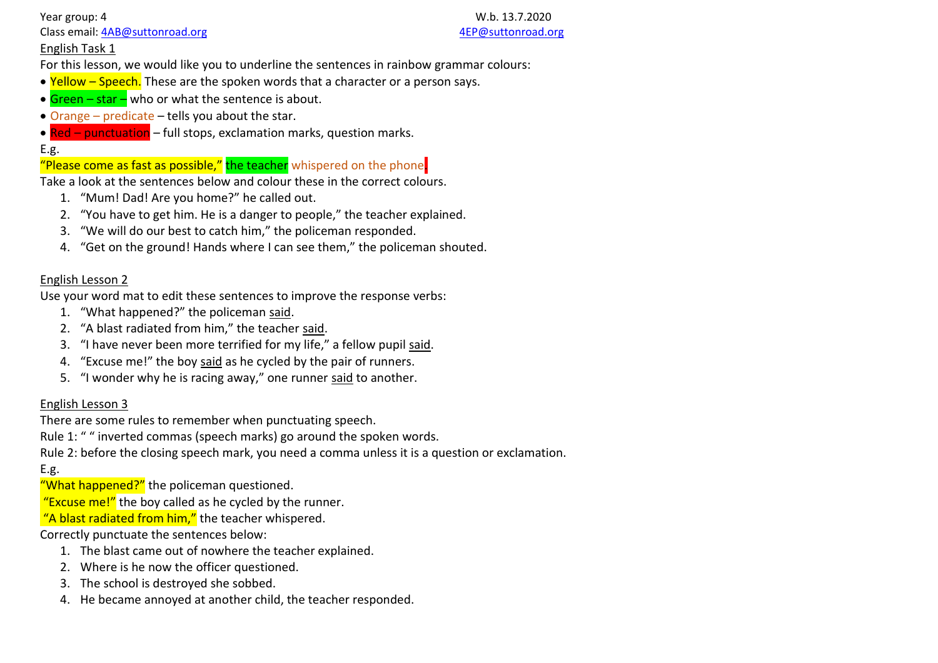Year group: 4 W.b. 13.7.2020 Class email: [4AB@suttonroad.org](mailto:4AB@suttonroad.org) [4EP@suttonroad.org](mailto:4EP@suttonroad.org)

## English Task 1

For this lesson, we would like you to underline the sentences in rainbow grammar colours:

- Yellow Speech. These are the spoken words that a character or a person says.
- $Green star -$  who or what the sentence is about.
- Orange predicate tells you about the star.
- Red punctuation full stops, exclamation marks, question marks.

## E.g.

# "Please come as fast as possible," the teacher whispered on the phone

Take a look at the sentences below and colour these in the correct colours.

- 1. "Mum! Dad! Are you home?" he called out.
- 2. "You have to get him. He is a danger to people," the teacher explained.
- 3. "We will do our best to catch him," the policeman responded.
- 4. "Get on the ground! Hands where I can see them," the policeman shouted.

### English Lesson 2

Use your word mat to edit these sentences to improve the response verbs:

- 1. "What happened?" the policeman said.
- 2. "A blast radiated from him," the teacher said.
- 3. "I have never been more terrified for my life," a fellow pupil said.
- 4. "Excuse me!" the boy said as he cycled by the pair of runners.
- 5. "I wonder why he is racing away," one runner said to another.

## English Lesson 3

There are some rules to remember when punctuating speech.

Rule 1: " " inverted commas (speech marks) go around the spoken words.

Rule 2: before the closing speech mark, you need a comma unless it is a question or exclamation.

# E.g.

"What happened?" the policeman questioned.

"Excuse  $me$ !" the boy called as he cycled by the runner.

"A blast radiated from him," the teacher whispered.

## Correctly punctuate the sentences below:

- 1. The blast came out of nowhere the teacher explained.
- 2. Where is he now the officer questioned.
- 3. The school is destroyed she sobbed.
- 4. He became annoyed at another child, the teacher responded.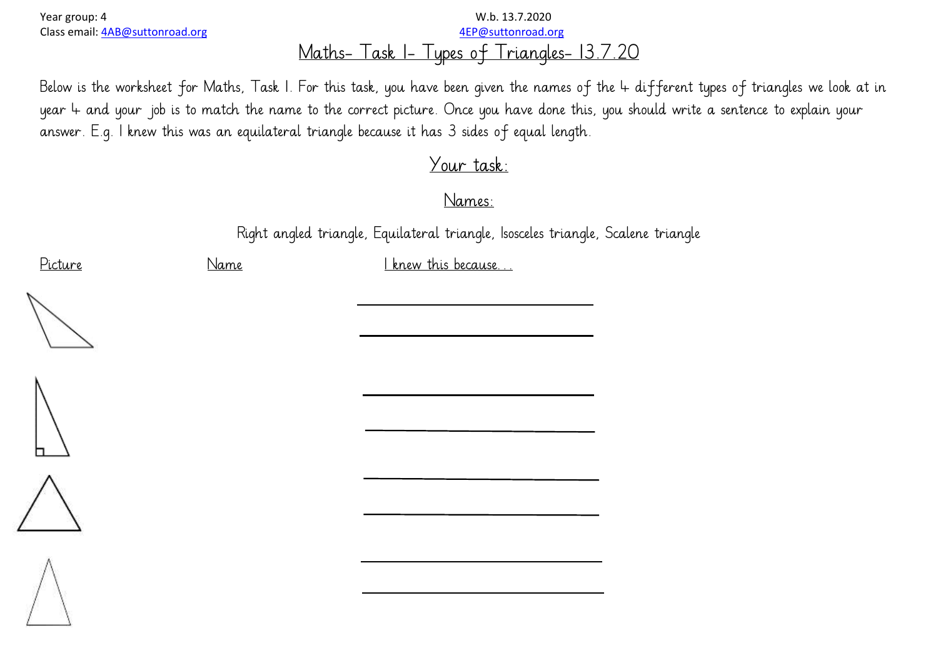# Year group: 4 W.b. 13.7.2020 Class email: [4AB@suttonroad.org](mailto:4AB@suttonroad.org) [4EP@suttonroad.org](mailto:4EP@suttonroad.org) Maths- Task 1- Types of Triangles- 13.7.20

Below is the worksheet for Maths, Task 1. For this task, you have been given the names of the 4 different types of triangles we look at in year 4 and your job is to match the name to the correct picture. Once you have done this, you should write a sentence to explain your answer. E.g. I knew this was an equilateral triangle because it has 3 sides of equal length.

# Your task:

Names:

Right angled triangle, Equilateral triangle, Isosceles triangle, Scalene triangle

Picture Name Name I knew this because...







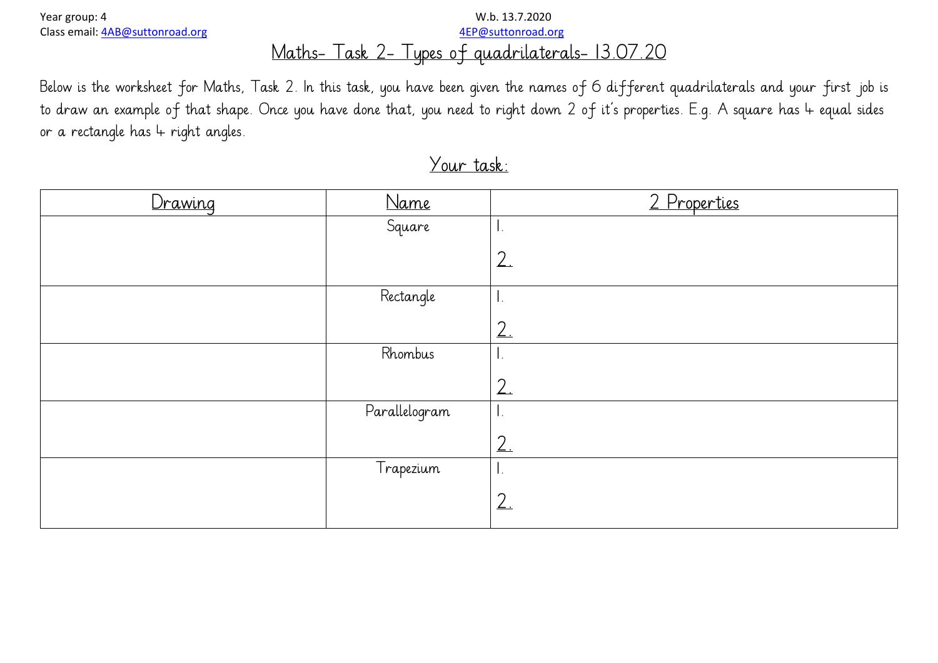Year group: 4 W.b. 13.7.2020 Class email: [4AB@suttonroad.org](mailto:4AB@suttonroad.org) [4EP@suttonroad.org](mailto:4EP@suttonroad.org)

# Maths- Task 2- Types of quadrilaterals- 13.07.20

Below is the worksheet for Maths, Task 2. In this task, you have been given the names of 6 different quadrilaterals and your first job is to draw an example of that shape. Once you have done that, you need to right down 2 of it's properties. E.g. A square has 4 equal sides or a rectangle has  $4$  right angles.

| Drawing | Name          | 2 Properties   |
|---------|---------------|----------------|
|         | Square        | Ι,             |
|         |               | 2 <sub>1</sub> |
|         | Rectangle     | Ι.             |
|         |               | 2.             |
|         | Rhombus       | υ.             |
|         |               | 2.             |
|         | Parallelogram | Ι.             |
|         |               | 2 <sub>1</sub> |
|         | Trapezium     | Ι.             |
|         |               | 2.             |

# Your task: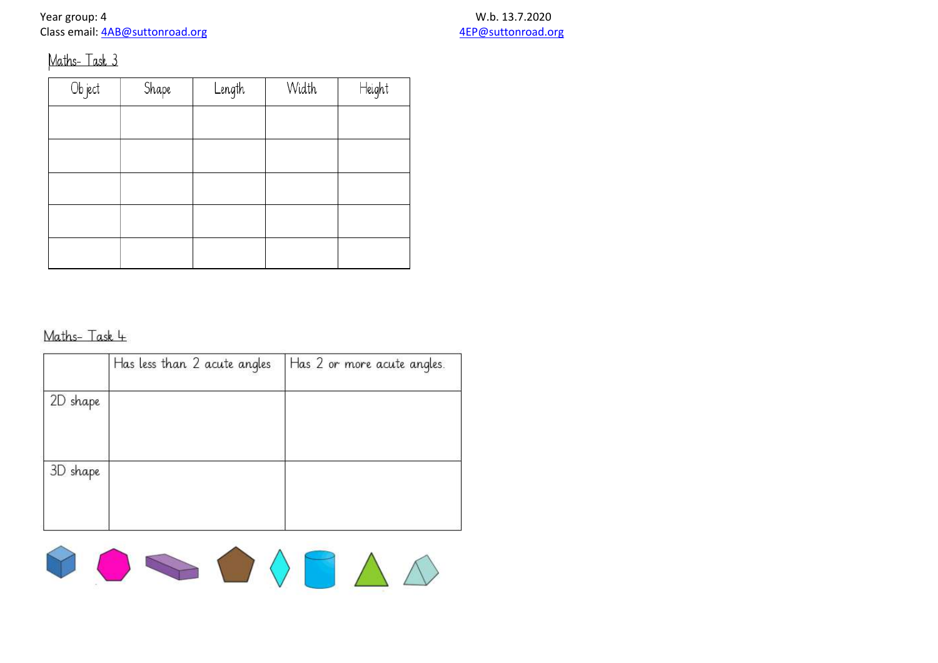Year group: 4 W.b. 13.7.2020<br>Class email: 4AB@suttonroad.org example and the set of the set of the set of the set of the Sun and the Sun A Class email: 4AB@suttonroad.org

# Maths-Task 3

| Object | Shape | Length | Width | Height |
|--------|-------|--------|-------|--------|
|        |       |        |       |        |
|        |       |        |       |        |
|        |       |        |       |        |
|        |       |        |       |        |
|        |       |        |       |        |
|        |       |        |       |        |

# Maths-Task 4

|          | Has less than 2 acute angles | Has 2 or more acute angles. |
|----------|------------------------------|-----------------------------|
| 2D shape |                              |                             |
| 3D shape |                              |                             |